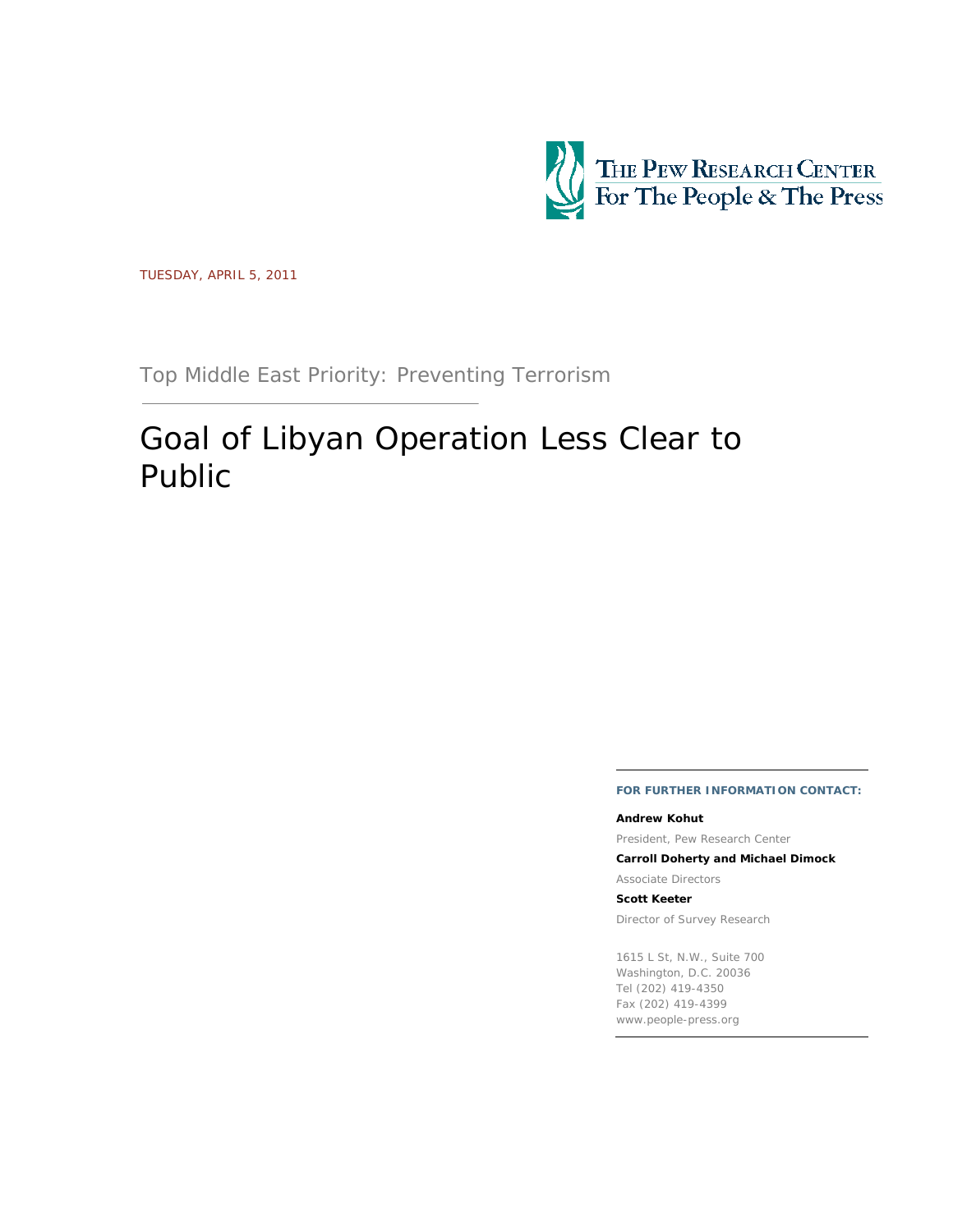

TUESDAY, APRIL 5, 2011

Top Middle East Priority: Preventing Terrorism

# Goal of Libyan Operation Less Clear to Public

**FOR FURTHER INFORMATION CONTACT:**

#### **Andrew Kohut**

President, Pew Research Center

**Carroll Doherty and Michael Dimock** 

Associate Directors

**Scott Keeter** 

Director of Survey Research

1615 L St, N.W., Suite 700 Washington, D.C. 20036 Tel (202) 419-4350 Fax (202) 419-4399 www.people-press.org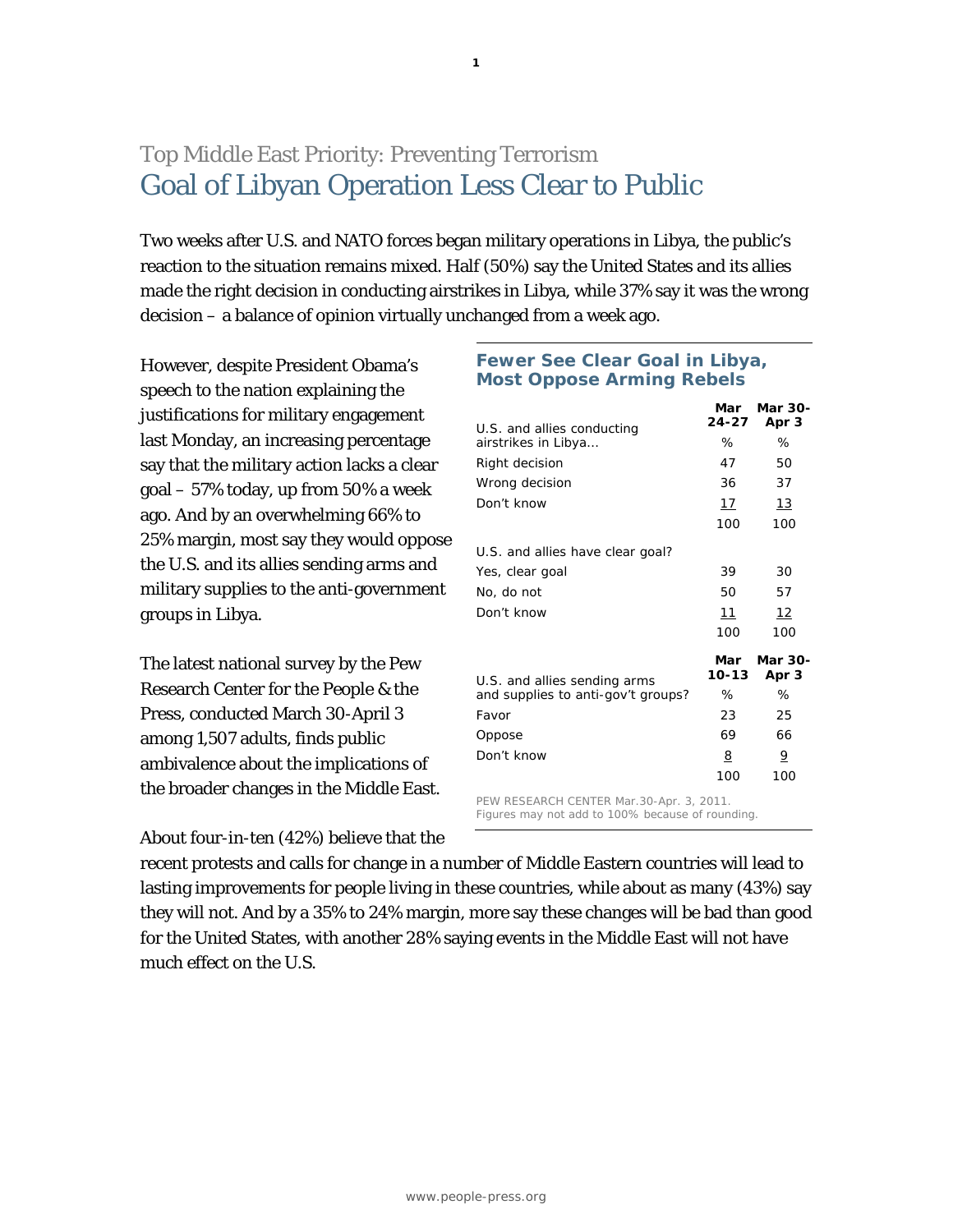## Top Middle East Priority: Preventing Terrorism Goal of Libyan Operation Less Clear to Public

Two weeks after U.S. and NATO forces began military operations in Libya, the public's reaction to the situation remains mixed. Half (50%) say the United States and its allies made the right decision in conducting airstrikes in Libya, while 37% say it was the wrong decision – a balance of opinion virtually unchanged from a week ago.

**1**

However, despite President Obama's speech to the nation explaining the justifications for military engagement last Monday, an increasing percentage say that the military action lacks a clear goal – 57% today, up from 50% a week ago. And by an overwhelming 66% to 25% margin, most say they would oppose the U.S. and its allies sending arms and military supplies to the anti-government groups in Libya.

The latest national survey by the Pew Research Center for the People & the Press, conducted March 30-April 3 among 1,507 adults, finds public ambivalence about the implications of the broader changes in the Middle East.

About four-in-ten (42%) believe that the

## **Fewer See Clear Goal in Libya, Most Oppose Arming Rebels**

| U.S. and allies conducting         | Mar<br>24-27 | Mar 30-<br>Apr 3 |
|------------------------------------|--------------|------------------|
| airstrikes in Libya                | ℅            | ℅                |
| Right decision                     | 47           | 50               |
| Wrong decision                     | 36           | 37               |
| Don't know                         | 17           | 13               |
|                                    | 100          | 100              |
| U.S. and allies have clear goal?   |              |                  |
| Yes, clear goal                    | 39           | 30               |
| No, do not                         | 50           | 57               |
| Don't know                         | 11           | 12               |
|                                    | 100          | 100              |
| U.S. and allies sending arms       | Mar<br>10-13 | Mar 30-<br>Apr 3 |
| and supplies to anti-gov't groups? | ℅            | %                |
| Favor                              | 23           | 25               |
| Oppose                             | 69           | 66               |
| Don't know                         | 8            | $\overline{6}$   |
|                                    | 100          | 100              |
|                                    |              |                  |

PEW RESEARCH CENTER Mar.30-Apr. 3, 2011. Figures may not add to 100% because of rounding.

recent protests and calls for change in a number of Middle Eastern countries will lead to lasting improvements for people living in these countries, while about as many (43%) say they will not. And by a 35% to 24% margin, more say these changes will be bad than good for the United States, with another 28% saying events in the Middle East will not have much effect on the U.S.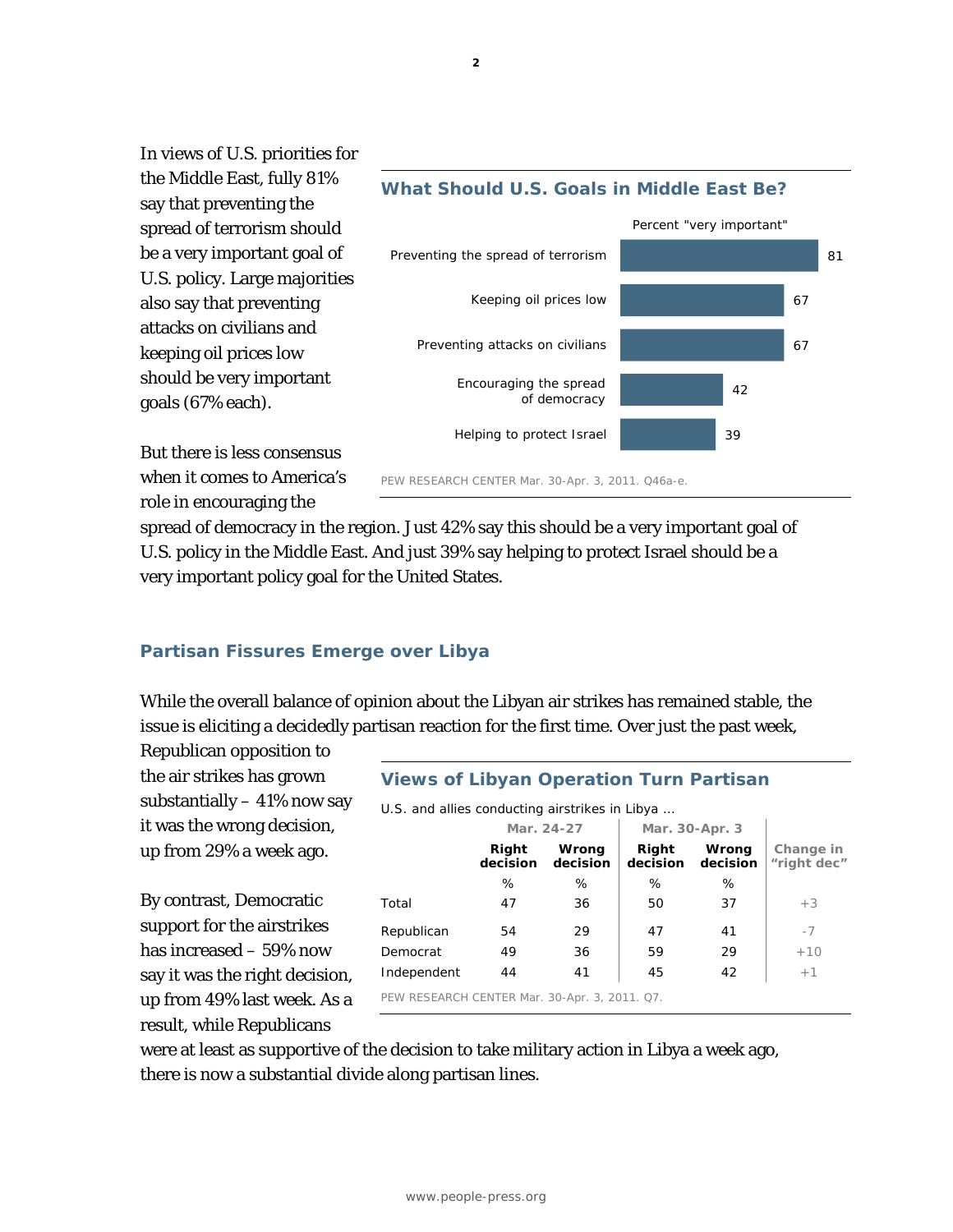In views of U.S. priorities for the Middle East, fully 81% say that preventing the spread of terrorism should be a very important goal of U.S. policy. Large majorities also say that preventing attacks on civilians and keeping oil prices low should be very important goals (67% each).



But there is less consensus when it comes to America's role in encouraging the

spread of democracy in the region. Just 42% say this should be a very important goal of U.S. policy in the Middle East. And just 39% say helping to protect Israel should be a very important policy goal for the United States.

## **Partisan Fissures Emerge over Libya**

While the overall balance of opinion about the Libyan air strikes has remained stable, the issue is eliciting a decidedly partisan reaction for the first time. Over just the past week,

Republican opposition to the air strikes has grown substantially  $-41\%$  now say it was the wrong decision, up from 29% a week ago.

By contrast, Democratic support for the airstrikes has increased – 59% now say it was the right decision, up from 49% last week. As a result, while Republicans

## **Views of Libyan Operation Turn Partisan**

*U.S. and allies conducting airstrikes in Libya …* 

|                                               |                   | Mar. 24-27        |                   | Mar. 30-Apr. 3    |                          |
|-----------------------------------------------|-------------------|-------------------|-------------------|-------------------|--------------------------|
|                                               | Right<br>decision | Wrong<br>decision | Right<br>decision | Wrong<br>decision | Change in<br>"right dec" |
|                                               | %                 | ℅                 | %                 | %                 |                          |
| Total                                         | 47                | 36                | 50                | 37                | $+3$                     |
| Republican                                    | 54                | 29                | 47                | 41                | $-7$                     |
| Democrat                                      | 49                | 36                | 59                | 29                | $+10$                    |
| Independent                                   | 44                | 41                | 45                | 42                | $+1$                     |
| PEW RESEARCH CENTER Mar. 30-Apr. 3, 2011. Q7. |                   |                   |                   |                   |                          |

were at least as supportive of the decision to take military action in Libya a week ago, there is now a substantial divide along partisan lines.

**2**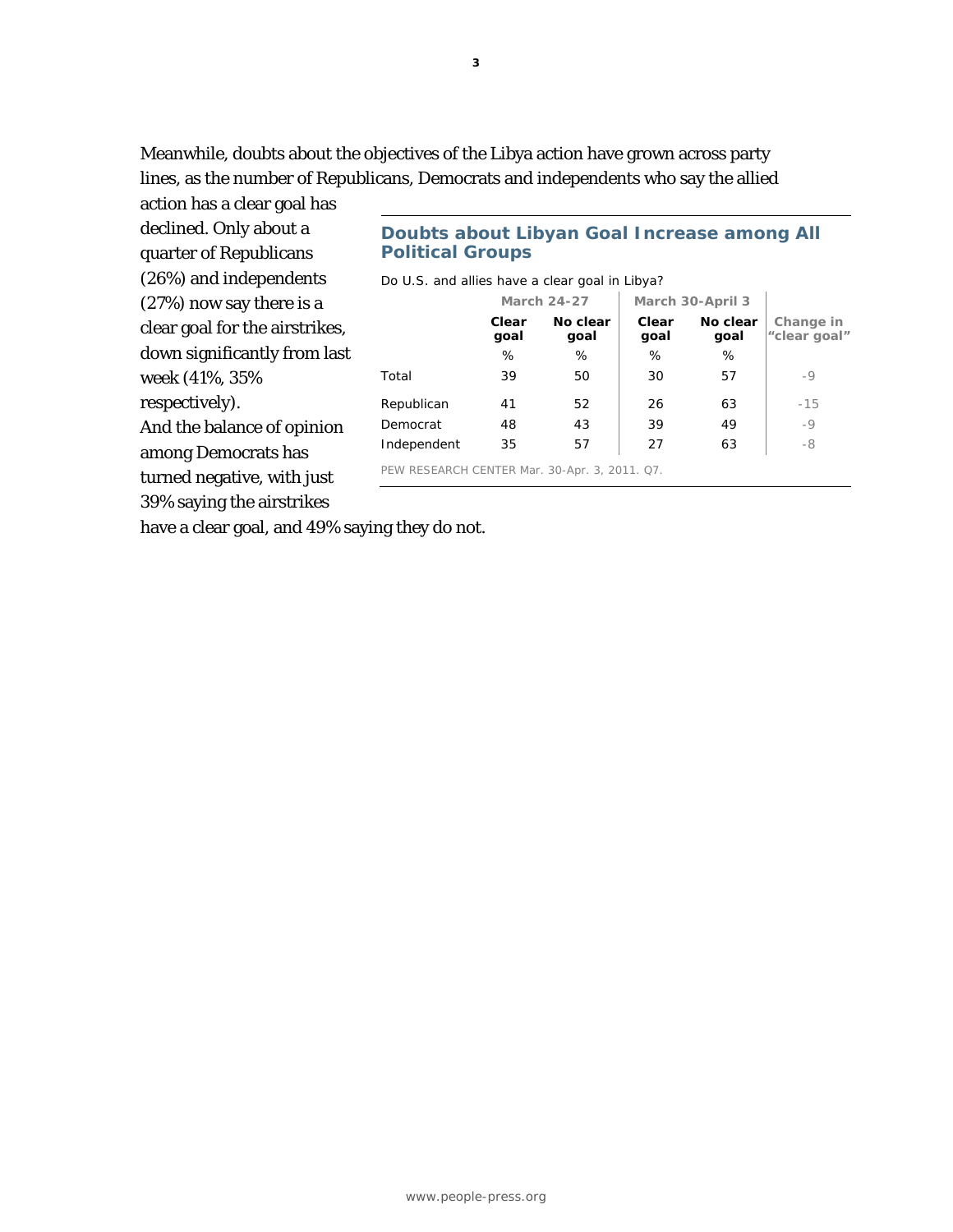Meanwhile, doubts about the objectives of the Libya action have grown across party lines, as the number of Republicans, Democrats and independents who say the allied

action has a clear goal has declined. Only about a quarter of Republicans (26%) and independents (27%) now say there is a clear goal for the airstrikes, down significantly from last week (41%, 35% respectively). And the balance of opinion among Democrats has turned negative, with just

39% saying the airstrikes

**Doubts about Libyan Goal Increase among All Political Groups** 

*Do U.S. and allies have a clear goal in Libya?* 

|                                               | <b>March 24-27</b> |                  | March 30-April 3 |                  |                           |
|-----------------------------------------------|--------------------|------------------|------------------|------------------|---------------------------|
|                                               | Clear<br>goal      | No clear<br>goal | Clear<br>goal    | No clear<br>goal | Change in<br>"clear goal" |
|                                               | %                  | %                | %                | %                |                           |
| Total                                         | 39                 | 50               | 30               | 57               | -9                        |
| Republican                                    | 41                 | 52               | 26               | 63               | $-15$                     |
| Democrat                                      | 48                 | 43               | 39               | 49               | $-9$                      |
| Independent                                   | 35                 | 57               | 27               | 63               | -8                        |
| PEW RESEARCH CENTER Mar. 30-Apr. 3, 2011. Q7. |                    |                  |                  |                  |                           |

have a clear goal, and 49% saying they do not.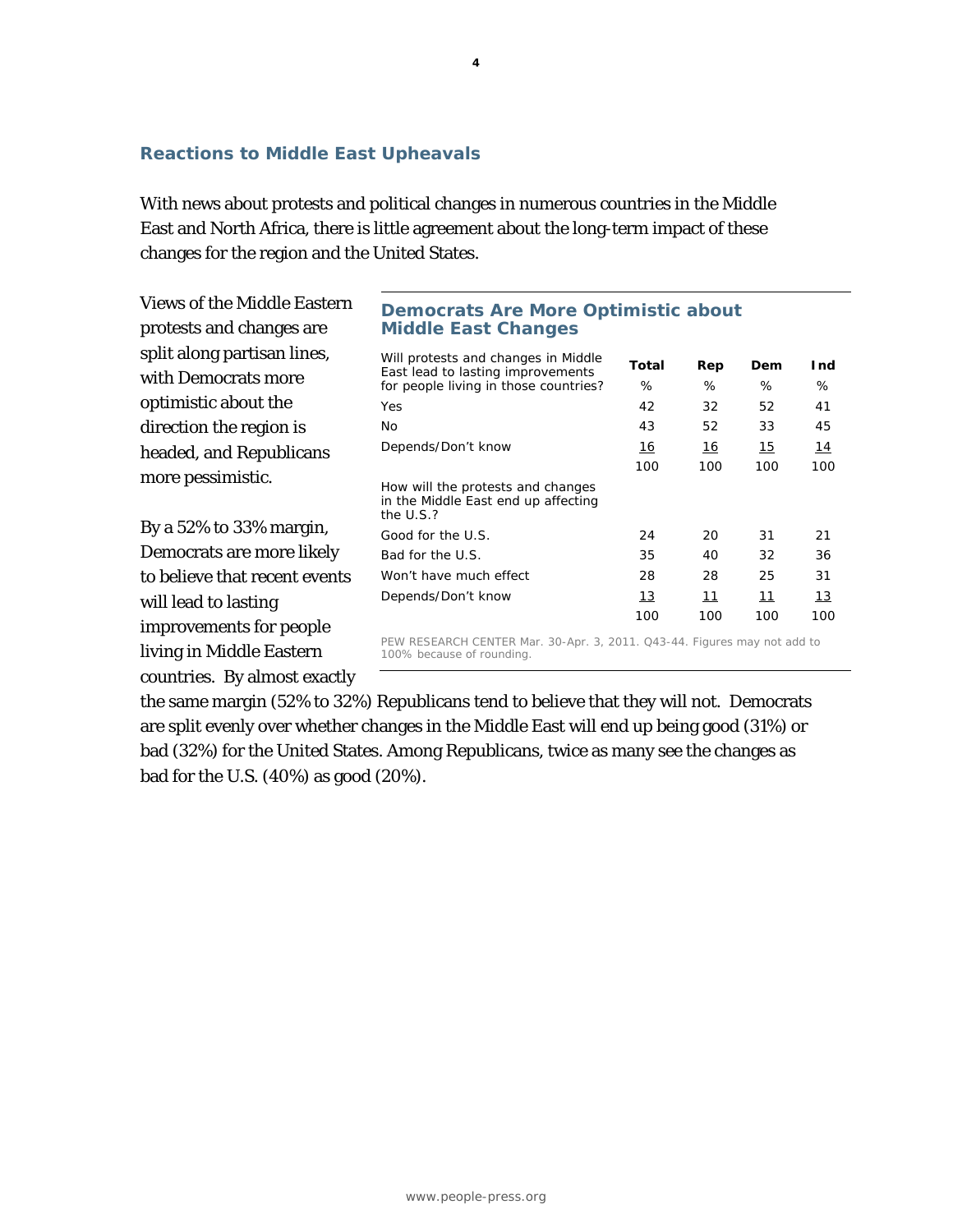## **Reactions to Middle East Upheavals**

With news about protests and political changes in numerous countries in the Middle East and North Africa, there is little agreement about the long-term impact of these changes for the region and the United States.

Views of the Middle Eastern protests and changes are split along partisan lines, with Democrats more optimistic about the direction the region is headed, and Republicans more pessimistic.

By a 52% to 33% margin, Democrats are more likely to believe that recent events will lead to lasting improvements for people living in Middle Eastern countries. By almost exactly

## **Democrats Are More Optimistic about Middle East Changes**

| Will protests and changes in Middle<br>East lead to lasting improvements                 | Total | Rep       | Dem | Ind |
|------------------------------------------------------------------------------------------|-------|-----------|-----|-----|
| for people living in those countries?                                                    | ℅     | %         | ℅   | %   |
| Yes                                                                                      | 42    | 32        | 52  | 41  |
| No                                                                                       | 43    | 52        | 33  | 45  |
| Depends/Don't know                                                                       | 16    | <u>16</u> | 15  | 14  |
|                                                                                          | 100   | 100       | 100 | 100 |
| How will the protests and changes<br>in the Middle East end up affecting<br>the $U.S.$ ? |       |           |     |     |
| Good for the U.S.                                                                        | 24    | 20        | 31  | 21  |
| Bad for the U.S.                                                                         | 35    | 40        | 32  | 36  |
| Won't have much effect                                                                   | 28    | 28        | 25  | 31  |
| Depends/Don't know                                                                       | 13    | 11        | 11  | 13  |
|                                                                                          | 100   | 100       | 100 | 100 |
| PEW RESEARCH CENTER Mar. 30-Apr. 3, 2011. Q43-44. Figures may not add to                 |       |           |     |     |

100% because of rounding.

the same margin (52% to 32%) Republicans tend to believe that they will not. Democrats are split evenly over whether changes in the Middle East will end up being good (31%) or bad (32%) for the United States. Among Republicans, twice as many see the changes as bad for the U.S. (40%) as good (20%).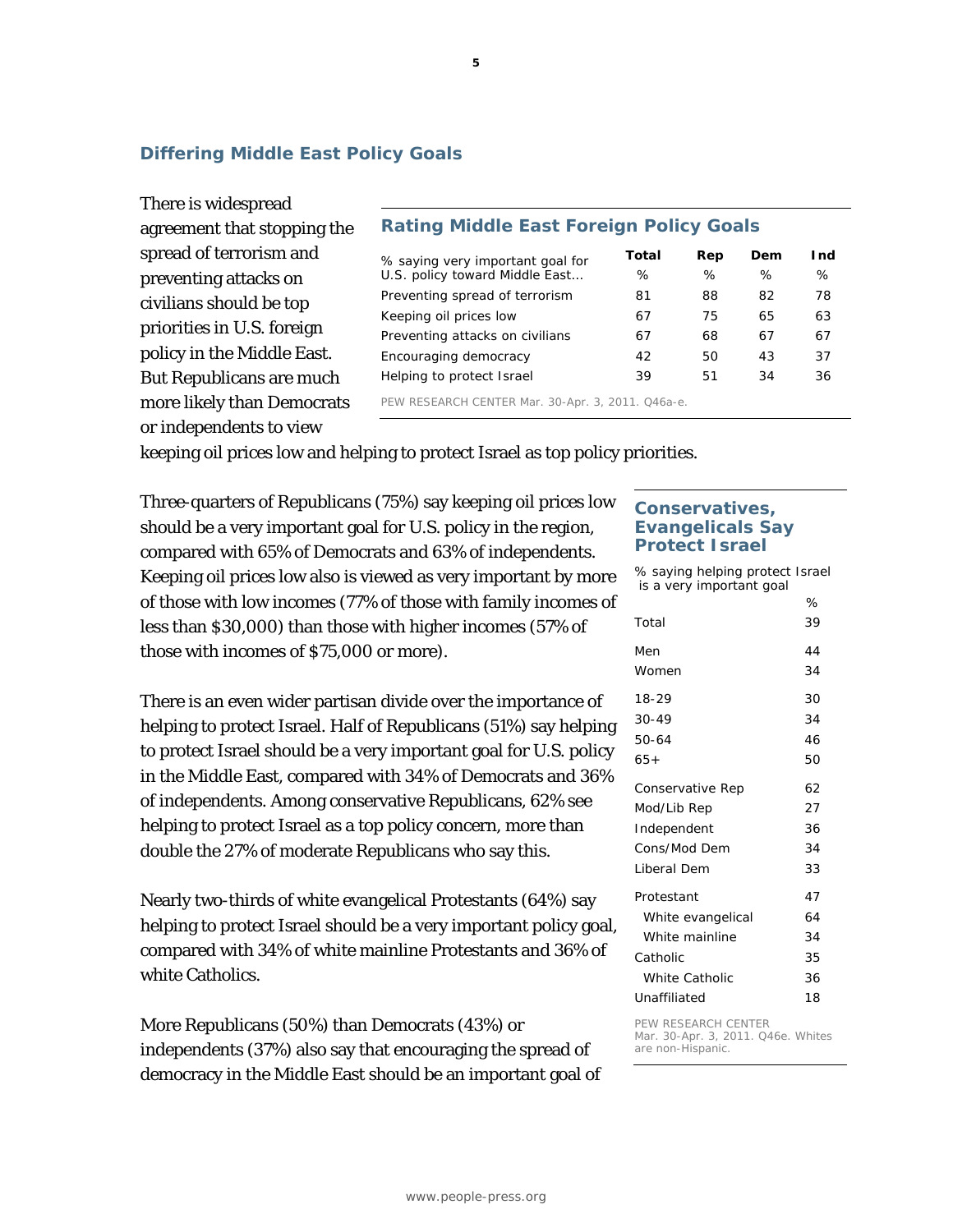## **Differing Middle East Policy Goals**

There is widespread agreement that stopping the spread of terrorism and preventing attacks on civilians should be top priorities in U.S. foreign policy in the Middle East. But Republicans are much more likely than Democrats or independents to view

## **Rating Middle East Foreign Policy Goals**

| % saying very important goal for                  | Total | Rep | Dem | I nd |
|---------------------------------------------------|-------|-----|-----|------|
| U.S. policy toward Middle East                    | ℅     | %   | ℅   | %    |
| Preventing spread of terrorism                    | 81    | 88  | 82  | 78   |
| Keeping oil prices low                            | 67    | 75  | 65  | 63   |
| Preventing attacks on civilians                   | 67    | 68  | 67  | 67   |
| Encouraging democracy                             | 42    | 50  | 43  | 37   |
| Helping to protect Israel                         | 39    | 51  | 34  | 36   |
| PEW RESEARCH CENTER Mar. 30-Apr. 3, 2011. Q46a-e. |       |     |     |      |

keeping oil prices low and helping to protect Israel as top policy priorities.

Three-quarters of Republicans (75%) say keeping oil prices low should be a very important goal for U.S. policy in the region, compared with 65% of Democrats and 63% of independents. Keeping oil prices low also is viewed as very important by more of those with low incomes (77% of those with family incomes of less than \$30,000) than those with higher incomes (57% of those with incomes of \$75,000 or more).

There is an even wider partisan divide over the importance of helping to protect Israel. Half of Republicans (51%) say helping to protect Israel should be a very important goal for U.S. policy in the Middle East, compared with 34% of Democrats and 36% of independents. Among conservative Republicans, 62% see helping to protect Israel as a top policy concern, more than double the 27% of moderate Republicans who say this.

Nearly two-thirds of white evangelical Protestants (64%) say helping to protect Israel should be a very important policy goal, compared with 34% of white mainline Protestants and 36% of white Catholics.

More Republicans (50%) than Democrats (43%) or independents (37%) also say that encouraging the spread of democracy in the Middle East should be an important goal of

## **Conservatives, Evangelicals Say Protect Israel**

*% saying helping protect Israel is a very important goal*

|                       | ℅  |
|-----------------------|----|
| Total                 | 39 |
| Men                   | 44 |
| Women                 | 34 |
| 18-29                 | 30 |
| 30-49                 | 34 |
| 50-64                 | 46 |
| 65+                   | 50 |
| Conservative Rep      | 62 |
| Mod/Lib Rep           | 27 |
| Independent           | 36 |
| Cons/Mod Dem          | 34 |
| Liberal Dem           | 33 |
| Protestant            | 47 |
| White evangelical     | 64 |
| White mainline        | 34 |
| Catholic              | 35 |
| <b>White Catholic</b> | 36 |
| Unaffiliated          | 18 |

#### PEW RESEARCH CENTER

Mar. 30-Apr. 3, 2011. Q46e. Whites are non-Hispanic.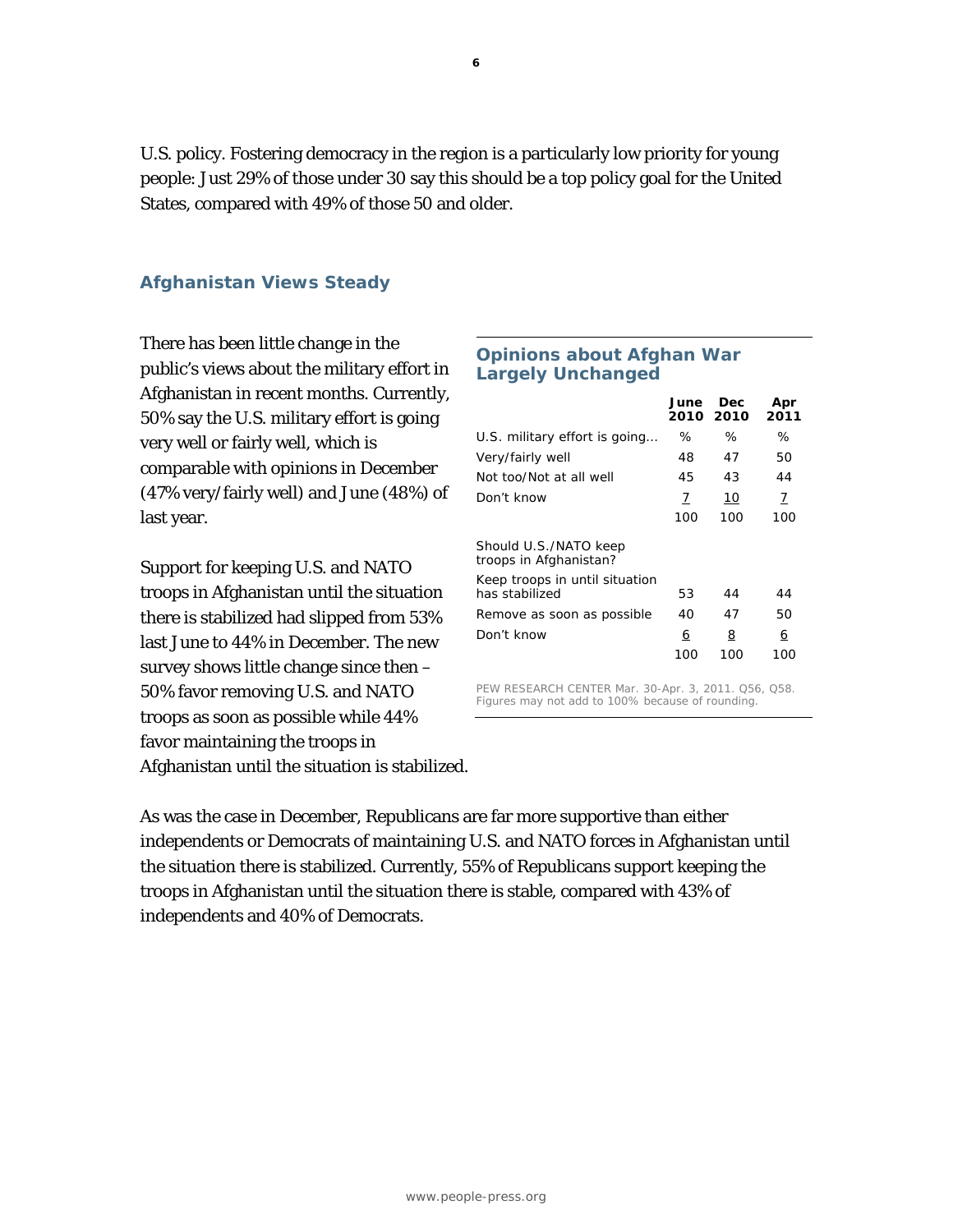U.S. policy. Fostering democracy in the region is a particularly low priority for young people: Just 29% of those under 30 say this should be a top policy goal for the United States, compared with 49% of those 50 and older.

## **Afghanistan Views Steady**

There has been little change in the public's views about the military effort in Afghanistan in recent months. Currently, 50% say the U.S. military effort is going very well or fairly well, which is comparable with opinions in December (47% very/fairly well) and June (48%) of last year.

Support for keeping U.S. and NATO troops in Afghanistan until the situation there is stabilized had slipped from 53% last June to 44% in December. The new survey shows little change since then – 50% favor removing U.S. and NATO troops as soon as possible while 44% favor maintaining the troops in Afghanistan until the situation is stabilized.

## **Opinions about Afghan War Largely Unchanged**

|                                                  | June<br>2010 2010 | Dec | Apr<br>2011 |
|--------------------------------------------------|-------------------|-----|-------------|
| U.S. military effort is going                    | ℅                 | ℅   | ℅           |
| Very/fairly well                                 | 48                | 47  | 50          |
| Not too/Not at all well                          | 45                | 43  | 44          |
| Don't know                                       | 7                 | 10  | Z           |
|                                                  | 100               | 100 | 100         |
| Should U.S./NATO keep<br>troops in Afghanistan?  |                   |     |             |
| Keep troops in until situation<br>has stabilized | 53                | 44  | 44          |
| Remove as soon as possible                       | 40                | 47  | 50          |
| Don't know                                       | 6                 | 8   | <u>6</u>    |
|                                                  | 100               | 100 | 100         |

PEW RESEARCH CENTER Mar. 30-Apr. 3, 2011. Q56, Q58. Figures may not add to 100% because of rounding.

As was the case in December, Republicans are far more supportive than either independents or Democrats of maintaining U.S. and NATO forces in Afghanistan until the situation there is stabilized. Currently, 55% of Republicans support keeping the troops in Afghanistan until the situation there is stable, compared with 43% of independents and 40% of Democrats.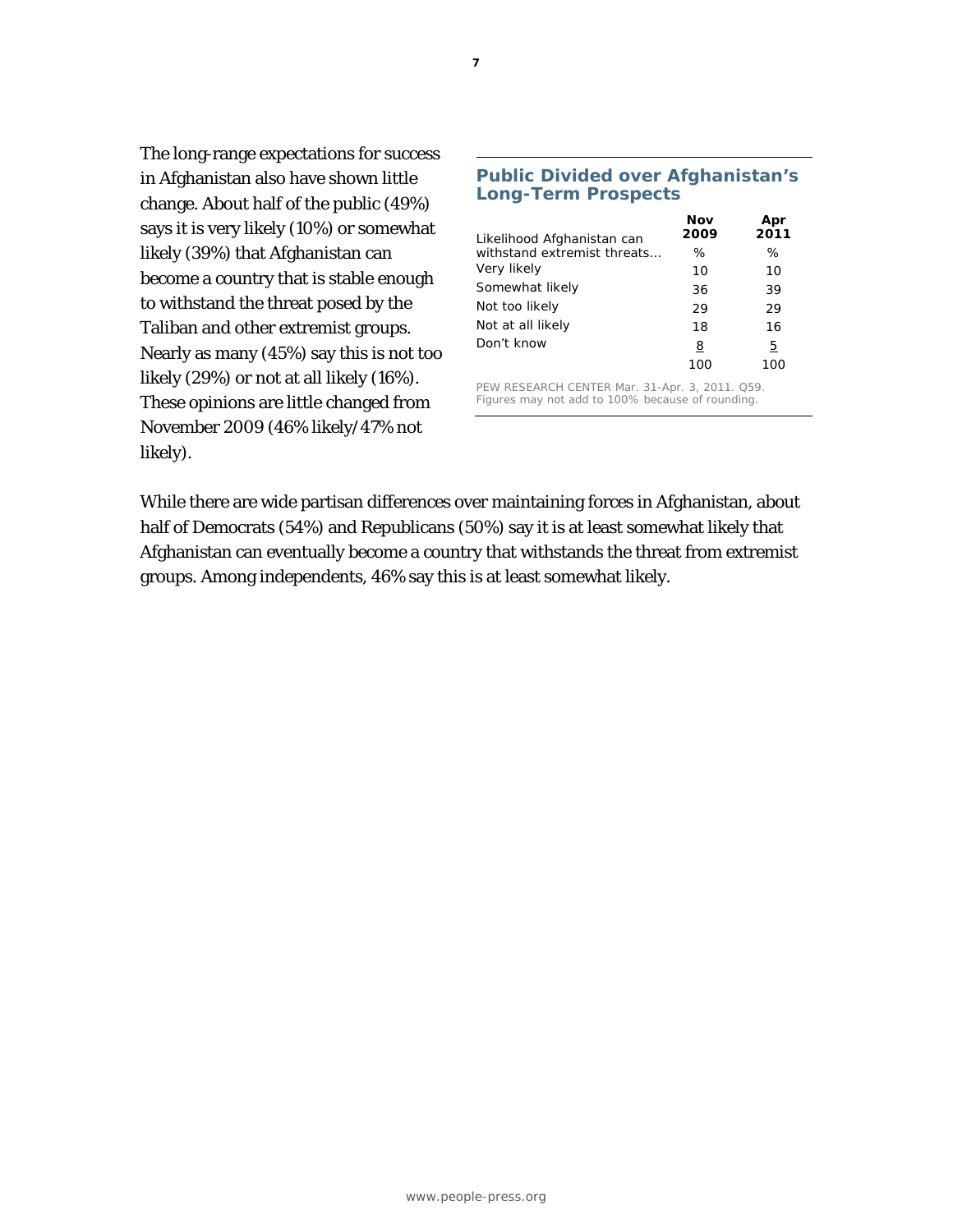The long-range expectations for success in Afghanistan also have shown little change. About half of the public (49%) says it is very likely (10%) or somewhat likely (39%) that Afghanistan can become a country that is stable enough to withstand the threat posed by the Taliban and other extremist groups. Nearly as many (45%) say this is not too likely (29%) or not at all likely (16%). These opinions are little changed from November 2009 (46% likely/47% not likely).

| <b>Long-Term Prospects</b>  |             |             |  |
|-----------------------------|-------------|-------------|--|
| Likelihood Afghanistan can  | Nov<br>2009 | Apr<br>2011 |  |
| withstand extremist threats | ℅           | ℅           |  |
| Very likely                 | 10          | 10          |  |
| Somewhat likely             | 36          | 39          |  |
| Not too likely              | 29          | 29          |  |
| Not at all likely           | 18          | 16          |  |
| Don't know                  | 8<br>100    | 5<br>100    |  |

**Public Divided over Afghanistan's** 

PEW RESEARCH CENTER Mar. 31-Apr. 3, 2011. Q59. Figures may not add to 100% because of rounding.

While there are wide partisan differences over maintaining forces in Afghanistan, about half of Democrats (54%) and Republicans (50%) say it is at least somewhat likely that Afghanistan can eventually become a country that withstands the threat from extremist groups. Among independents, 46% say this is at least somewhat likely.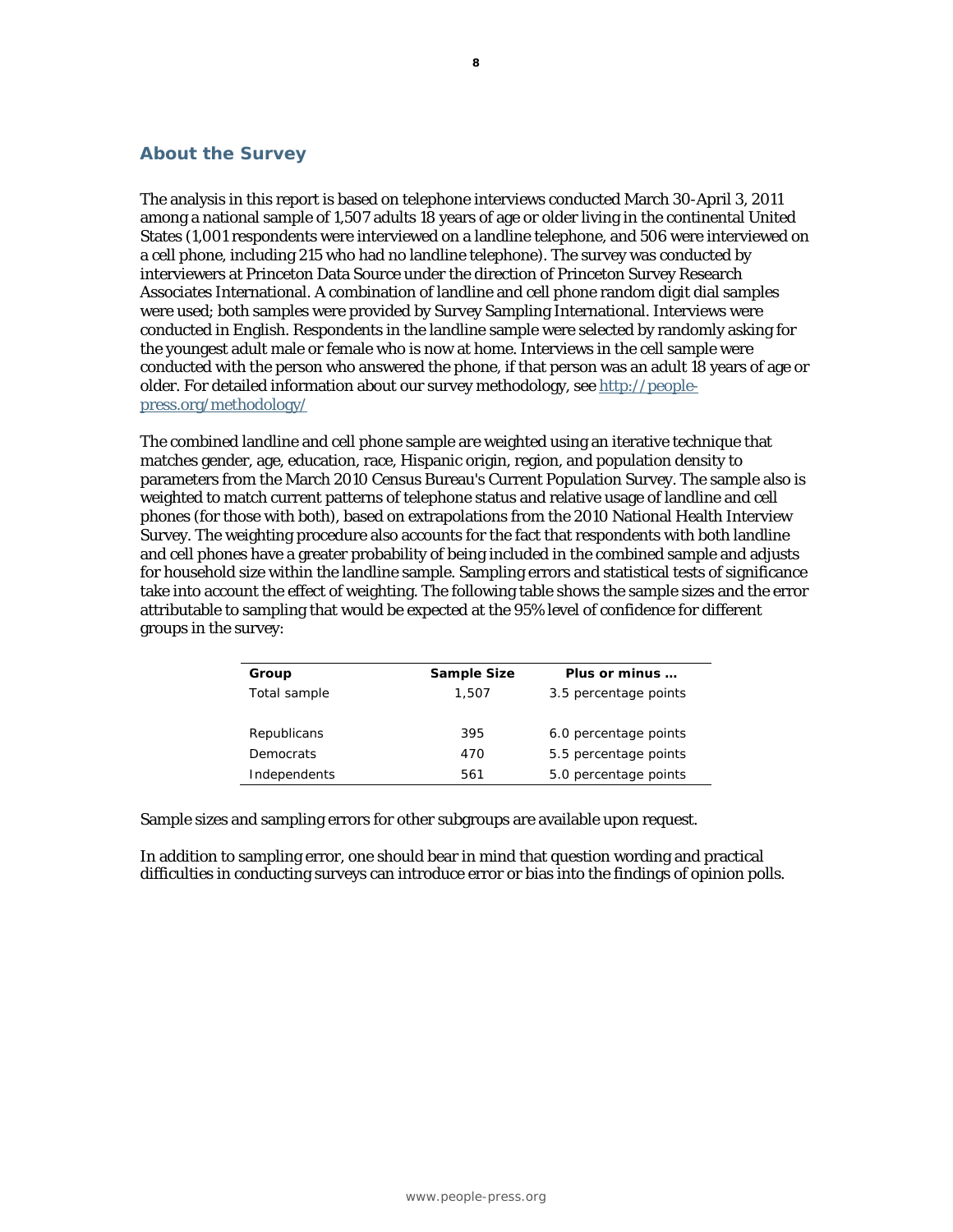## **About the Survey**

The analysis in this report is based on telephone interviews conducted March 30-April 3, 2011 among a national sample of 1,507 adults 18 years of age or older living in the continental United States (1,001 respondents were interviewed on a landline telephone, and 506 were interviewed on a cell phone, including 215 who had no landline telephone). The survey was conducted by interviewers at Princeton Data Source under the direction of Princeton Survey Research Associates International. A combination of landline and cell phone random digit dial samples were used; both samples were provided by Survey Sampling International. Interviews were conducted in English. Respondents in the landline sample were selected by randomly asking for the youngest adult male or female who is now at home. Interviews in the cell sample were conducted with the person who answered the phone, if that person was an adult 18 years of age or older. For detailed information about our survey methodology, see http://peoplepress.org/methodology/

The combined landline and cell phone sample are weighted using an iterative technique that matches gender, age, education, race, Hispanic origin, region, and population density to parameters from the March 2010 Census Bureau's Current Population Survey. The sample also is weighted to match current patterns of telephone status and relative usage of landline and cell phones (for those with both), based on extrapolations from the 2010 National Health Interview Survey. The weighting procedure also accounts for the fact that respondents with both landline and cell phones have a greater probability of being included in the combined sample and adjusts for household size within the landline sample. Sampling errors and statistical tests of significance take into account the effect of weighting. The following table shows the sample sizes and the error attributable to sampling that would be expected at the 95% level of confidence for different groups in the survey:

| Group        | Sample Size | Plus or minus         |
|--------------|-------------|-----------------------|
| Total sample | 1,507       | 3.5 percentage points |
|              |             |                       |
| Republicans  | 395         | 6.0 percentage points |
| Democrats    | 470         | 5.5 percentage points |
| Independents | 561         | 5.0 percentage points |
|              |             |                       |

Sample sizes and sampling errors for other subgroups are available upon request.

In addition to sampling error, one should bear in mind that question wording and practical difficulties in conducting surveys can introduce error or bias into the findings of opinion polls.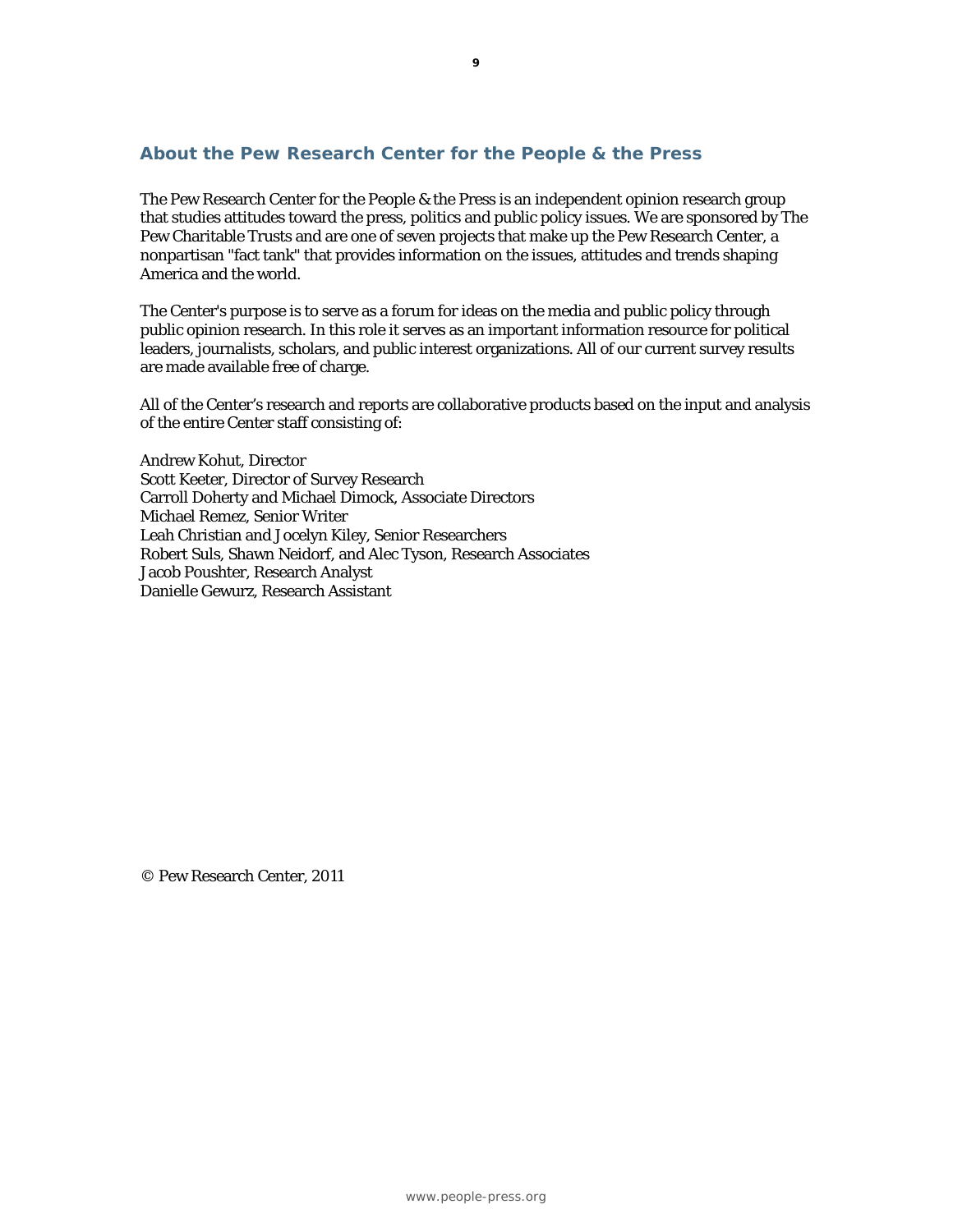## **About the Pew Research Center for the People & the Press**

The Pew Research Center for the People & the Press is an independent opinion research group that studies attitudes toward the press, politics and public policy issues. We are sponsored by The Pew Charitable Trusts and are one of seven projects that make up the Pew Research Center, a nonpartisan "fact tank" that provides information on the issues, attitudes and trends shaping America and the world.

The Center's purpose is to serve as a forum for ideas on the media and public policy through public opinion research. In this role it serves as an important information resource for political leaders, journalists, scholars, and public interest organizations. All of our current survey results are made available free of charge.

All of the Center's research and reports are collaborative products based on the input and analysis of the entire Center staff consisting of:

Andrew Kohut, Director Scott Keeter, Director of Survey Research Carroll Doherty and Michael Dimock, Associate Directors Michael Remez, Senior Writer Leah Christian and Jocelyn Kiley, Senior Researchers Robert Suls, Shawn Neidorf, and Alec Tyson, Research Associates Jacob Poushter, Research Analyst Danielle Gewurz, Research Assistant

© Pew Research Center, 2011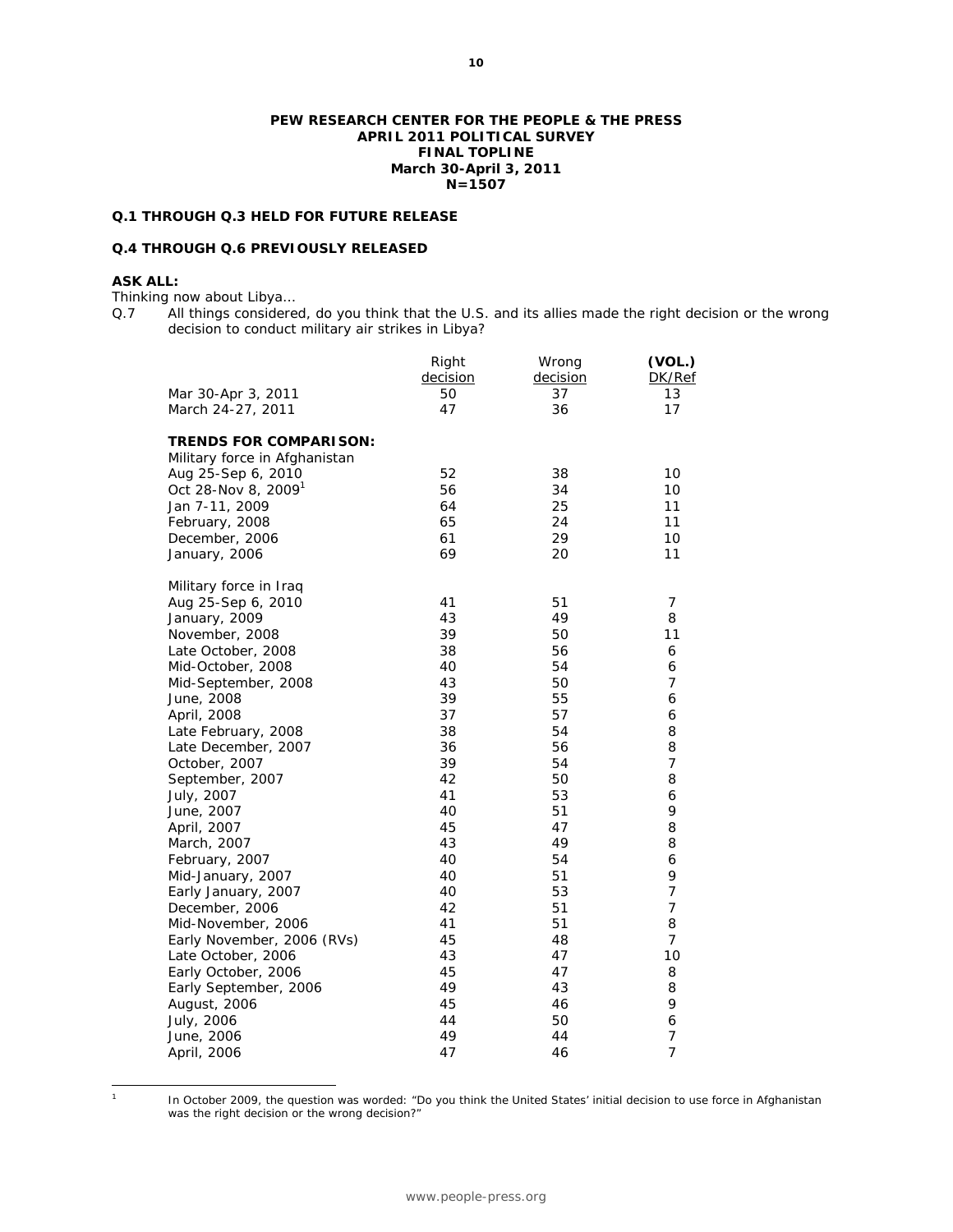#### **PEW RESEARCH CENTER FOR THE PEOPLE & THE PRESS APRIL 2011 POLITICAL SURVEY FINAL TOPLINE March 30-April 3, 2011 N=1507**

### **Q.1 THROUGH Q.3 HELD FOR FUTURE RELEASE**

#### **Q.4 THROUGH Q.6 PREVIOUSLY RELEASED**

## **ASK ALL:**

Thinking now about Libya…

Q.7 All things considered, do you think that the U.S. and its allies made the right decision or the wrong decision to conduct military air strikes in Libya?

|                                                                | Right<br>decision | Wrong<br>decision | (VOL.)<br>DK/Ref |
|----------------------------------------------------------------|-------------------|-------------------|------------------|
| Mar 30-Apr 3, 2011                                             | 50                | 37                | 13               |
| March 24-27, 2011                                              | 47                | 36                | 17               |
|                                                                |                   |                   |                  |
| <b>TRENDS FOR COMPARISON:</b><br>Military force in Afghanistan |                   |                   |                  |
| Aug 25-Sep 6, 2010                                             | 52                | 38                | 10               |
| Oct 28-Nov 8, 2009 <sup>1</sup>                                | 56                | 34                | 10               |
| Jan 7-11, 2009                                                 | 64                | 25                | 11               |
| February, 2008                                                 | 65                | 24                | 11               |
| December, 2006                                                 | 61                | 29                | 10               |
| January, 2006                                                  | 69                | 20                | 11               |
| Military force in Iraq                                         |                   |                   |                  |
| Aug 25-Sep 6, 2010                                             | 41                | 51                | 7                |
| January, 2009                                                  | 43                | 49                | 8                |
| November, 2008                                                 | 39                | 50                | 11               |
| Late October, 2008                                             | 38                | 56                | 6                |
| Mid-October, 2008                                              | 40                | 54                | 6                |
| Mid-September, 2008                                            | 43                | 50                | 7                |
| June, 2008                                                     | 39                | 55                | 6                |
| April, 2008                                                    | 37                | 57                | 6                |
| Late February, 2008                                            | 38                | 54                | 8                |
| Late December, 2007                                            | 36                | 56                | 8                |
| October, 2007                                                  | 39                | 54                | 7                |
| September, 2007                                                | 42                | 50                | 8                |
| July, 2007                                                     | 41                | 53                | 6                |
| June, 2007                                                     | 40                | 51                | 9                |
| April, 2007                                                    | 45                | 47                | 8                |
| March, 2007                                                    | 43                | 49                | 8                |
| February, 2007                                                 | 40                | 54                | 6                |
| Mid-January, 2007                                              | 40                | 51                | 9                |
| Early January, 2007                                            | 40                | 53                | $\overline{7}$   |
| December, 2006                                                 | 42                | 51                | $\overline{7}$   |
| Mid-November, 2006                                             | 41                | 51                | 8                |
| Early November, 2006 (RVs)                                     | 45                | 48                | 7                |
| Late October, 2006                                             | 43                | 47                | 10               |
| Early October, 2006                                            | 45                | 47                | 8                |
| Early September, 2006                                          | 49                | 43                | 8                |
| August, 2006                                                   | 45                | 46                | 9                |
| July, 2006                                                     | 44                | 50                | 6                |
| June, 2006                                                     | 49                | 44                | $\overline{7}$   |
| April, 2006                                                    | 47                | 46                | $\overline{7}$   |

 $\frac{1}{1}$ 

 In October 2009, the question was worded: "Do you think the United States' initial decision to use force in Afghanistan was the right decision or the wrong decision?"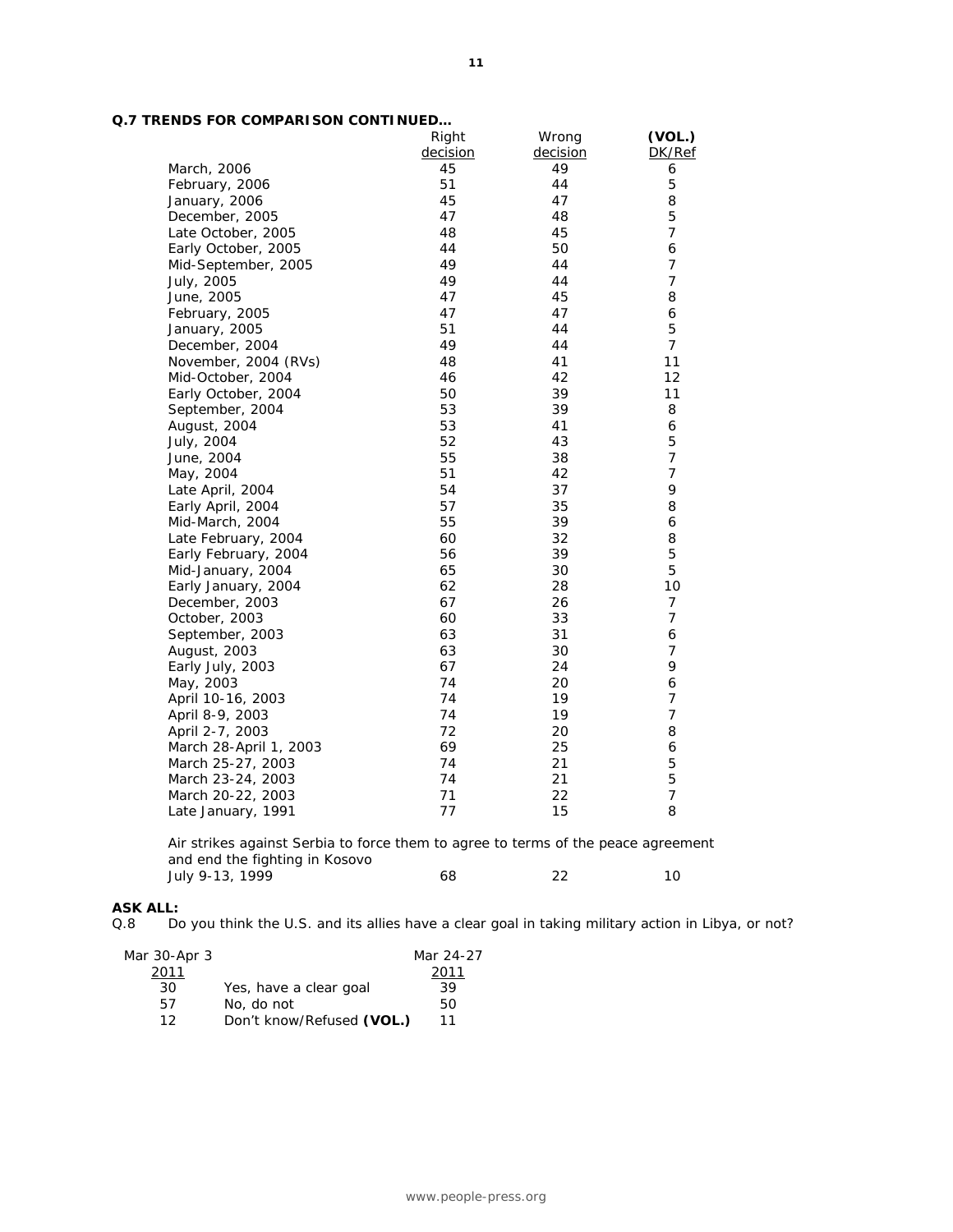| Q.7 TRENDS FOR COMPARISON CONTINUED |
|-------------------------------------|
|-------------------------------------|

|                        | Right    | Wrong    | (VOL.)         |
|------------------------|----------|----------|----------------|
|                        | decision | decision | DK/Ref         |
| March, 2006            | 45       | 49       | 6              |
| February, 2006         | 51       | 44       | 5              |
| January, 2006          | 45       | 47       | 8              |
| December, 2005         | 47       | 48       | 5              |
| Late October, 2005     | 48       | 45       | $\overline{7}$ |
| Early October, 2005    | 44       | 50       | 6              |
| Mid-September, 2005    | 49       | 44       | $\overline{7}$ |
| July, 2005             | 49       | 44       | 7              |
| June, 2005             | 47       | 45       | 8              |
| February, 2005         | 47       | 47       | 6              |
| January, 2005          | 51       | 44       | 5              |
| December, 2004         | 49       | 44       | $\overline{7}$ |
| November, 2004 (RVs)   | 48       | 41       | 11             |
| Mid-October, 2004      | 46       | 42       | 12             |
| Early October, 2004    | 50       | 39       | 11             |
| September, 2004        | 53       | 39       | 8              |
| August, 2004           | 53       | 41       | 6              |
| July, 2004             | 52       | 43       | 5              |
| June, 2004             | 55       | 38       | $\overline{7}$ |
| May, 2004              | 51       | 42       | $\overline{7}$ |
| Late April, 2004       | 54       | 37       | 9              |
| Early April, 2004      | 57       | 35       | 8              |
| Mid-March, 2004        | 55       | 39       | 6              |
| Late February, 2004    | 60       | 32       | 8              |
| Early February, 2004   | 56       | 39       | 5              |
| Mid-January, 2004      | 65       | 30       | 5              |
| Early January, 2004    | 62       | 28       | 10             |
| December, 2003         | 67       | 26       | $\overline{7}$ |
| October, 2003          | 60       | 33       | $\overline{7}$ |
| September, 2003        | 63       | 31       | 6              |
| August, 2003           | 63       | 30       | 7              |
| Early July, 2003       | 67       | 24       | 9              |
| May, 2003              | 74       | 20       | 6              |
| April 10-16, 2003      | 74       | 19       | 7              |
| April 8-9, 2003        | 74       | 19       | $\overline{7}$ |
| April 2-7, 2003        | 72       | 20       | 8              |
| March 28-April 1, 2003 | 69       | 25       | 6              |
| March 25-27, 2003      | 74       | 21       | 5              |
| March 23-24, 2003      | 74       | 21       | 5              |
| March 20-22, 2003      | 71       | 22       | 7              |
| Late January, 1991     | 77       | 15       | 8              |
|                        |          |          |                |

*Air strikes against Serbia to force them to agree to terms of the peace agreement and end the fighting in Kosovo*  July 9-13, 1999 **68** 22 10

# **ASK ALL:**

Do you think the U.S. and its allies have a clear goal in taking military action in Libya, or not?

| Mar 30-Apr 3 |                           | Mar 24-27 |
|--------------|---------------------------|-----------|
| 2011         |                           | 2011      |
| 30           | Yes, have a clear goal    | 39        |
| 57           | No, do not                | 50        |
| 1 2          | Don't know/Refused (VOL.) | 11        |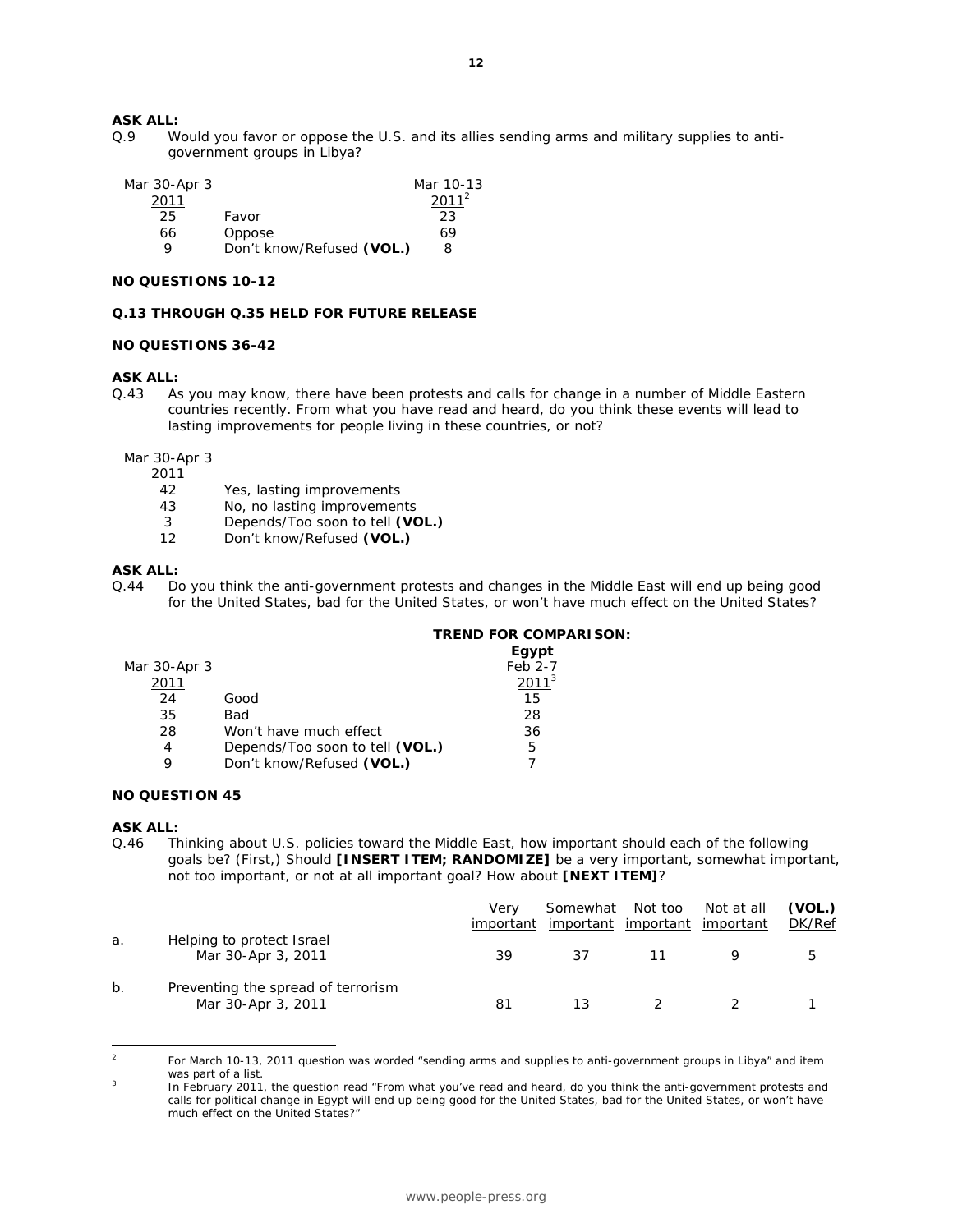## **ASK ALL:**

Q.9 Would you favor or oppose the U.S. and its allies sending arms and military supplies to antigovernment groups in Libya?

| Mar 30-Apr 3 |                           | Mar 10-13 |
|--------------|---------------------------|-----------|
| 2011         |                           | $2011^2$  |
| 25           | Favor                     | 23        |
| 66           | Oppose                    | 69        |
| Q            | Don't know/Refused (VOL.) | 8         |

### **NO QUESTIONS 10-12**

#### **Q.13 THROUGH Q.35 HELD FOR FUTURE RELEASE**

#### **NO QUESTIONS 36-42**

#### **ASK ALL:**

Q.43 As you may know, there have been protests and calls for change in a number of Middle Eastern countries recently. From what you have read and heard, do you think these events will lead to lasting improvements for people living in these countries, or not?

Mar 30-Apr 3

2011

- 42 Yes, lasting improvements<br>43 No. no lasting improvement
- No, no lasting improvements
- 3 Depends/Too soon to tell **(VOL.)**
- 12 Don't know/Refused **(VOL.)**

#### **ASK ALL:**

Q.44 Do you think the anti-government protests and changes in the Middle East will end up being good for the United States, bad for the United States, or won't have much effect on the United States?

#### **TREND FOR COMPARISON:**

|              |                                 | Egypt    |
|--------------|---------------------------------|----------|
| Mar 30-Apr 3 |                                 | Feb 2-7  |
| 2011         |                                 | $2011^3$ |
| 24           | Good                            | 15       |
| 35           | Bad                             | 28       |
| 28           | Won't have much effect          | 36       |
| 4            | Depends/Too soon to tell (VOL.) | 5        |
| Q            | Don't know/Refused (VOL.)       |          |

## **NO QUESTION 45**

#### **ASK ALL:**

 $\overline{a}$ 

Q.46 Thinking about U.S. policies toward the Middle East, how important should each of the following goals be? (First,) Should **[INSERT ITEM; RANDOMIZE]** be a very important, somewhat important, not too important, or not at all important goal? How about **[NEXT ITEM]**?

|    |                                                          | Verv<br>important | Somewhat Not too<br>important | <u>important</u> | Not at all<br>important | (VOL.)<br>DK/Ref |
|----|----------------------------------------------------------|-------------------|-------------------------------|------------------|-------------------------|------------------|
| a. | Helping to protect Israel<br>Mar 30-Apr 3, 2011          | 39                | 37                            |                  |                         | 5                |
| b. | Preventing the spread of terrorism<br>Mar 30-Apr 3, 2011 | -81               | 13                            |                  |                         |                  |

<sup>2</sup> For March 10-13, 2011 question was worded "sending arms and supplies to anti-government groups in Libya" and item was part of a list.

In February 2011, the question read "From what you've read and heard, do you think the anti-government protests and calls for political change in Egypt will end up being good for the United States, bad for the United States, or won't have much effect on the United States?"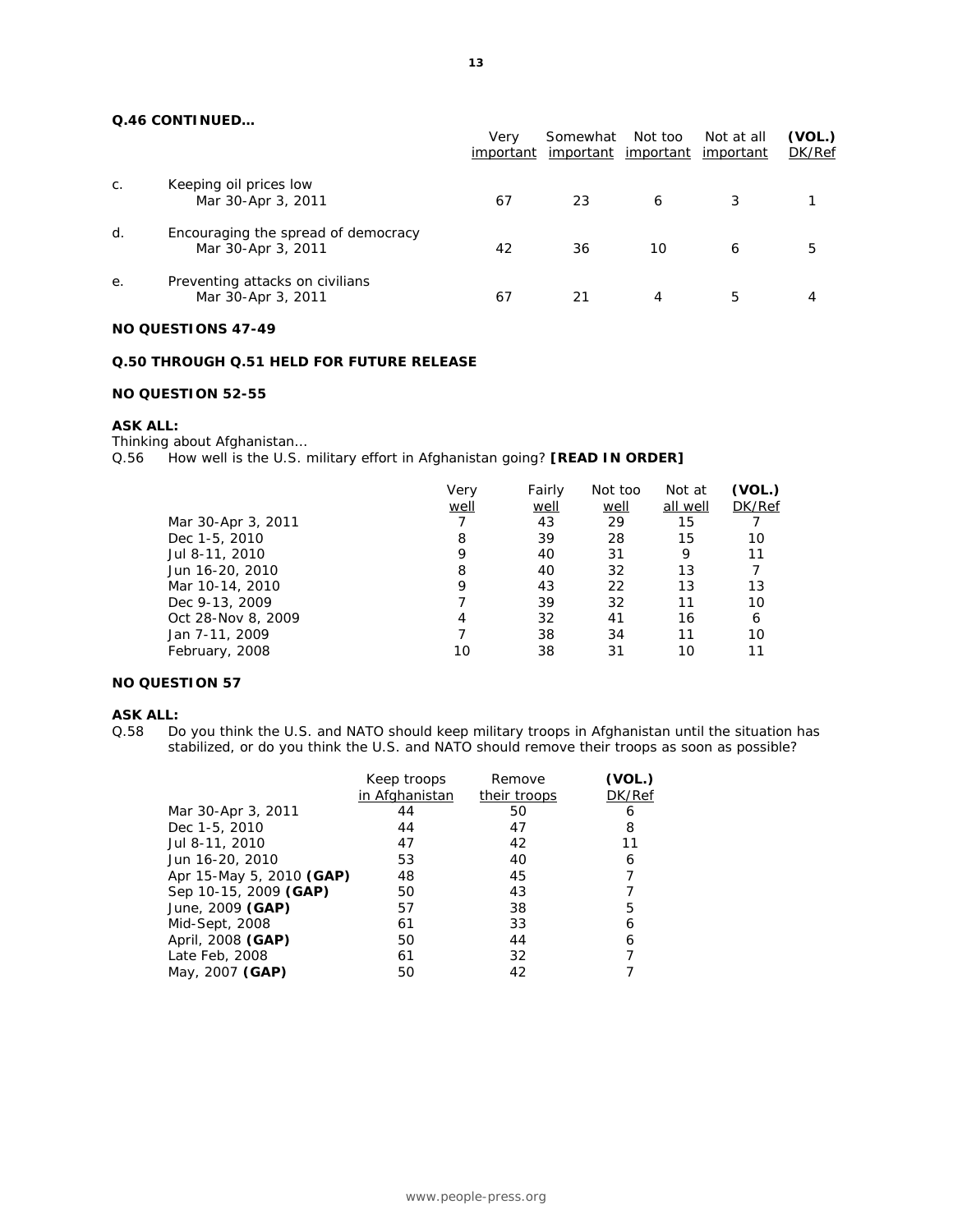### **Q.46 CONTINUED…**

|                |                                                           | Verv<br>important | Somewhat<br>important | Not too<br><u>important</u> | Not at all<br>important | (VOL.)<br>DK/Ref |
|----------------|-----------------------------------------------------------|-------------------|-----------------------|-----------------------------|-------------------------|------------------|
| $\mathsf{C}$ . | Keeping oil prices low<br>Mar 30-Apr 3, 2011              | 67                | 23                    | 6                           |                         |                  |
| d.             | Encouraging the spread of democracy<br>Mar 30-Apr 3, 2011 | 42                | 36                    | 10                          | 6                       | 5                |
| е.             | Preventing attacks on civilians<br>Mar 30-Apr 3, 2011     | 67                | 21                    | 4                           | 5                       | 4                |

## **NO QUESTIONS 47-49**

## **Q.50 THROUGH Q.51 HELD FOR FUTURE RELEASE**

## **NO QUESTION 52-55**

#### **ASK ALL:**

Thinking about Afghanistan… Q.56 How well is the U.S. military effort in Afghanistan going? **[READ IN ORDER]**

|                    | Very<br>well | Fairly<br>well | Not too<br>well | Not at<br>all well | (VOL.)<br>DK/Ref |
|--------------------|--------------|----------------|-----------------|--------------------|------------------|
| Mar 30-Apr 3, 2011 |              | 43             | 29              | 15                 |                  |
| Dec 1-5, 2010      | 8            | 39             | 28              | 15                 | 10               |
| Jul 8-11, 2010     | 9            | 40             | 31              | 9                  | 11               |
| Jun 16-20, 2010    | 8            | 40             | 32              | 13                 |                  |
| Mar 10-14, 2010    | 9            | 43             | 22              | 13                 | 13               |
| Dec 9-13, 2009     |              | 39             | 32              | 11                 | 10               |
| Oct 28-Nov 8, 2009 | 4            | 32             | 41              | 16                 | 6                |
| Jan 7-11, 2009     |              | 38             | 34              | 11                 | 10               |
| February, 2008     | 10           | 38             | 31              | 10                 | 11               |
|                    |              |                |                 |                    |                  |

#### **NO QUESTION 57**

#### **ASK ALL:**

Q.58 Do you think the U.S. and NATO should keep military troops in Afghanistan until the situation has stabilized, or do you think the U.S. and NATO should remove their troops as soon as possible?

|                          | Keep troops    | Remove       | (VOL.) |
|--------------------------|----------------|--------------|--------|
|                          | in Afghanistan | their troops | DK/Ref |
| Mar 30-Apr 3, 2011       | 44             | 50           | 6      |
| Dec 1-5, 2010            | 44             | 47           | 8      |
| Jul 8-11, 2010           | 47             | 42           | 11     |
| Jun 16-20, 2010          | 53             | 40           | 6      |
| Apr 15-May 5, 2010 (GAP) | 48             | 45           |        |
| Sep 10-15, 2009 (GAP)    | 50             | 43           |        |
| June, 2009 (GAP)         | 57             | 38           | 5      |
| Mid-Sept, 2008           | 61             | 33           | 6      |
| April, 2008 (GAP)        | 50             | 44           | 6      |
| Late Feb, 2008           | 61             | 32           |        |
| May, 2007 (GAP)          | 50             | 42           |        |
|                          |                |              |        |